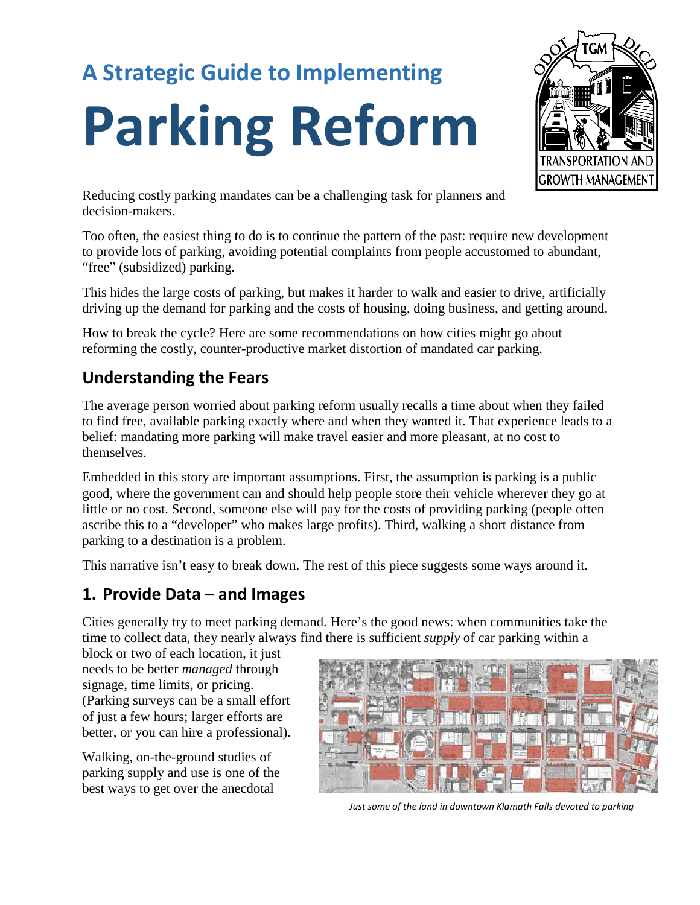# **A Strategic Guide to Implementing**

# **Parking Reform**



Reducing costly parking mandates can be a challenging task for planners and decision-makers.

Too often, the easiest thing to do is to continue the pattern of the past: require new development to provide lots of parking, avoiding potential complaints from people accustomed to abundant, "free" (subsidized) parking.

This hides the large costs of parking, but makes it harder to walk and easier to drive, artificially driving up the demand for parking and the costs of housing, doing business, and getting around.

How to break the cycle? Here are some recommendations on how cities might go about reforming the costly, counter-productive market distortion of mandated car parking.

## **Understanding the Fears**

The average person worried about parking reform usually recalls a time about when they failed to find free, available parking exactly where and when they wanted it. That experience leads to a belief: mandating more parking will make travel easier and more pleasant, at no cost to themselves.

Embedded in this story are important assumptions. First, the assumption is parking is a public good, where the government can and should help people store their vehicle wherever they go at little or no cost. Second, someone else will pay for the costs of providing parking (people often ascribe this to a "developer" who makes large profits). Third, walking a short distance from parking to a destination is a problem.

This narrative isn't easy to break down. The rest of this piece suggests some ways around it.

### **1. Provide Data – and Images**

Cities generally try to meet parking demand. Here's the good news: when communities take the time to collect data, they nearly always find there is sufficient *supply* of car parking within a

block or two of each location, it just needs to be better *managed* through signage, time limits, or pricing. (Parking surveys can be a small effort of just a few hours; larger efforts are better, or you can hire a professional).

Walking, on-the-ground studies of parking supply and use is one of the best ways to get over the anecdotal



*Just some of the land in downtown Klamath Falls devoted to parking*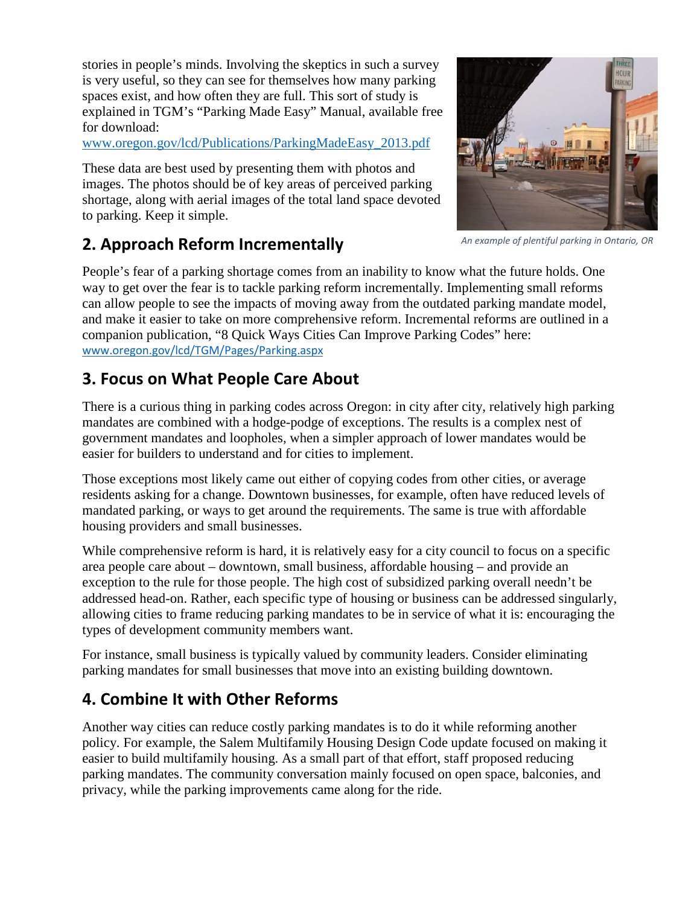stories in people's minds. Involving the skeptics in such a survey is very useful, so they can see for themselves how many parking spaces exist, and how often they are full. This sort of study is explained in TGM's "Parking Made Easy" Manual, available free for download:

#### [www.oregon.gov/lcd/Publications/ParkingMadeEasy\\_2013.pdf](http://www.oregon.gov/lcd/Publications/ParkingMadeEasy_2013.pdf)

These data are best used by presenting them with photos and images. The photos should be of key areas of perceived parking shortage, along with aerial images of the total land space devoted to parking. Keep it simple.



#### **2. Approach Reform Incrementally**

*An example of plentiful parking in Ontario, OR*

People's fear of a parking shortage comes from an inability to know what the future holds. One way to get over the fear is to tackle parking reform incrementally. Implementing small reforms can allow people to see the impacts of moving away from the outdated parking mandate model, and make it easier to take on more comprehensive reform. Incremental reforms are outlined in a companion publication, "8 Quick Ways Cities Can Improve Parking Codes" here: [www.oregon.gov/lcd/TGM/Pages/Parking.aspx](http://www.oregon.gov/lcd/TGM/Pages/Parking.aspx)

#### **3. Focus on What People Care About**

There is a curious thing in parking codes across Oregon: in city after city, relatively high parking mandates are combined with a hodge-podge of exceptions. The results is a complex nest of government mandates and loopholes, when a simpler approach of lower mandates would be easier for builders to understand and for cities to implement.

Those exceptions most likely came out either of copying codes from other cities, or average residents asking for a change. Downtown businesses, for example, often have reduced levels of mandated parking, or ways to get around the requirements. The same is true with affordable housing providers and small businesses.

While comprehensive reform is hard, it is relatively easy for a city council to focus on a specific area people care about – downtown, small business, affordable housing – and provide an exception to the rule for those people. The high cost of subsidized parking overall needn't be addressed head-on. Rather, each specific type of housing or business can be addressed singularly, allowing cities to frame reducing parking mandates to be in service of what it is: encouraging the types of development community members want.

For instance, small business is typically valued by community leaders. Consider eliminating parking mandates for small businesses that move into an existing building downtown.

#### **4. Combine It with Other Reforms**

Another way cities can reduce costly parking mandates is to do it while reforming another policy. For example, the Salem Multifamily Housing Design Code update focused on making it easier to build multifamily housing. As a small part of that effort, staff proposed reducing parking mandates. The community conversation mainly focused on open space, balconies, and privacy, while the parking improvements came along for the ride.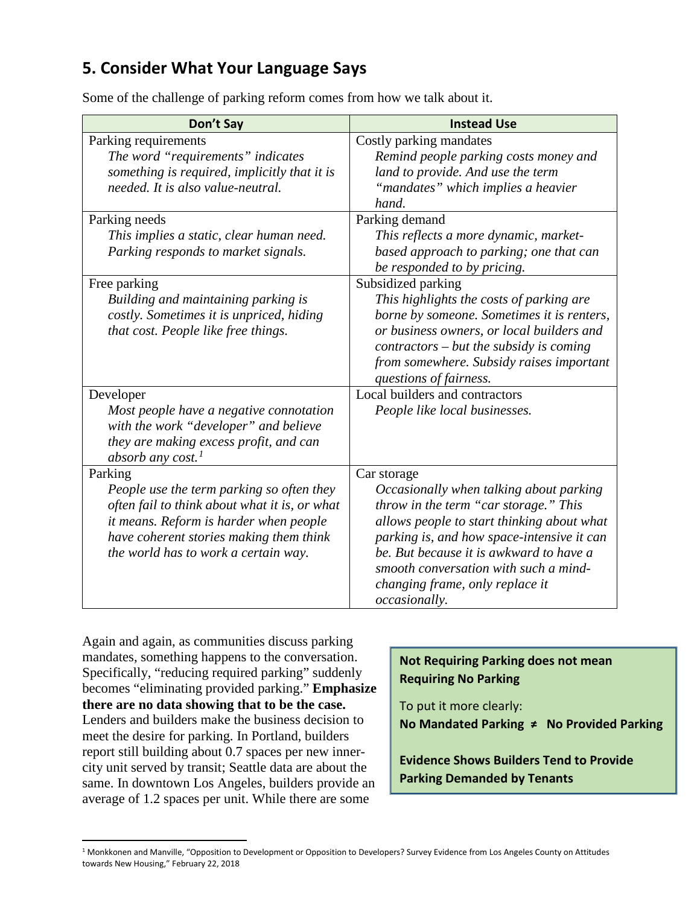#### **5. Consider What Your Language Says**

Some of the challenge of parking reform comes from how we talk about it.

| Don't Say                                     | <b>Instead Use</b>                         |
|-----------------------------------------------|--------------------------------------------|
| Parking requirements                          | Costly parking mandates                    |
| The word "requirements" indicates             | Remind people parking costs money and      |
| something is required, implicitly that it is  | land to provide. And use the term          |
| needed. It is also value-neutral.             | "mandates" which implies a heavier         |
|                                               | hand.                                      |
| Parking needs                                 | Parking demand                             |
| This implies a static, clear human need.      | This reflects a more dynamic, market-      |
| Parking responds to market signals.           | based approach to parking; one that can    |
|                                               | be responded to by pricing.                |
| Free parking                                  | Subsidized parking                         |
| Building and maintaining parking is           | This highlights the costs of parking are   |
| costly. Sometimes it is unpriced, hiding      | borne by someone. Sometimes it is renters, |
| that cost. People like free things.           | or business owners, or local builders and  |
|                                               | $contractors - but the subsidy is coming$  |
|                                               | from somewhere. Subsidy raises important   |
|                                               | questions of fairness.                     |
| Developer                                     | Local builders and contractors             |
| Most people have a negative connotation       | People like local businesses.              |
| with the work "developer" and believe         |                                            |
| they are making excess profit, and can        |                                            |
| absorb any cost. <sup>1</sup>                 |                                            |
| Parking                                       | Car storage                                |
| People use the term parking so often they     | Occasionally when talking about parking    |
| often fail to think about what it is, or what | throw in the term "car storage." This      |
| it means. Reform is harder when people        | allows people to start thinking about what |
| have coherent stories making them think       | parking is, and how space-intensive it can |
| the world has to work a certain way.          | be. But because it is awkward to have a    |
|                                               | smooth conversation with such a mind-      |
|                                               | changing frame, only replace it            |
|                                               | occasionally.                              |

Again and again, as communities discuss parking mandates, something happens to the conversation. Specifically, "reducing required parking" suddenly becomes "eliminating provided parking." **Emphasize there are no data showing that to be the case.** Lenders and builders make the business decision to meet the desire for parking. In Portland, builders report still building about 0.7 spaces per new innercity unit served by transit; Seattle data are about the same. In downtown Los Angeles, builders provide an average of 1.2 spaces per unit. While there are some

| <b>Not Requiring Parking does not mean</b> |
|--------------------------------------------|
| <b>Requiring No Parking</b>                |

To put it more clearly: **No Mandated Parking ≠ No Provided Parking**

**Evidence Shows Builders Tend to Provide Parking Demanded by Tenants**

<span id="page-2-0"></span><sup>&</sup>lt;sup>1</sup> Monkkonen and Manville, "Opposition to Development or Opposition to Developers? Survey Evidence from Los Angeles County on Attitudes towards New Housing," February 22, 2018